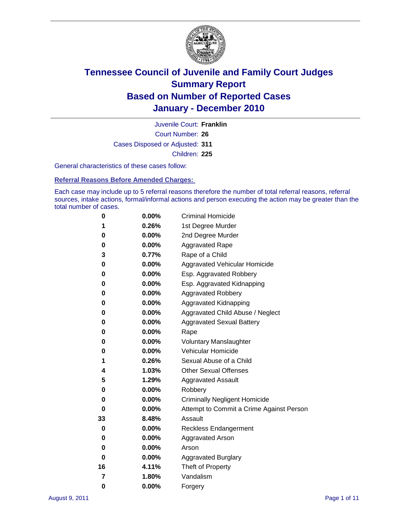

Court Number: **26** Juvenile Court: **Franklin** Cases Disposed or Adjusted: **311** Children: **225**

General characteristics of these cases follow:

**Referral Reasons Before Amended Charges:** 

Each case may include up to 5 referral reasons therefore the number of total referral reasons, referral sources, intake actions, formal/informal actions and person executing the action may be greater than the total number of cases.

| 0  | 0.00% | <b>Criminal Homicide</b>                 |
|----|-------|------------------------------------------|
| 1  | 0.26% | 1st Degree Murder                        |
| 0  | 0.00% | 2nd Degree Murder                        |
| 0  | 0.00% | <b>Aggravated Rape</b>                   |
| 3  | 0.77% | Rape of a Child                          |
| 0  | 0.00% | Aggravated Vehicular Homicide            |
| 0  | 0.00% | Esp. Aggravated Robbery                  |
| 0  | 0.00% | Esp. Aggravated Kidnapping               |
| 0  | 0.00% | <b>Aggravated Robbery</b>                |
| 0  | 0.00% | Aggravated Kidnapping                    |
| 0  | 0.00% | Aggravated Child Abuse / Neglect         |
| 0  | 0.00% | <b>Aggravated Sexual Battery</b>         |
| 0  | 0.00% | Rape                                     |
| 0  | 0.00% | <b>Voluntary Manslaughter</b>            |
| 0  | 0.00% | Vehicular Homicide                       |
| 1  | 0.26% | Sexual Abuse of a Child                  |
| 4  | 1.03% | <b>Other Sexual Offenses</b>             |
| 5  | 1.29% | <b>Aggravated Assault</b>                |
| 0  | 0.00% | Robbery                                  |
| 0  | 0.00% | <b>Criminally Negligent Homicide</b>     |
| 0  | 0.00% | Attempt to Commit a Crime Against Person |
| 33 | 8.48% | Assault                                  |
| 0  | 0.00% | <b>Reckless Endangerment</b>             |
| 0  | 0.00% | <b>Aggravated Arson</b>                  |
| 0  | 0.00% | Arson                                    |
| 0  | 0.00% | <b>Aggravated Burglary</b>               |
| 16 | 4.11% | Theft of Property                        |
| 7  | 1.80% | Vandalism                                |
| 0  | 0.00% | Forgery                                  |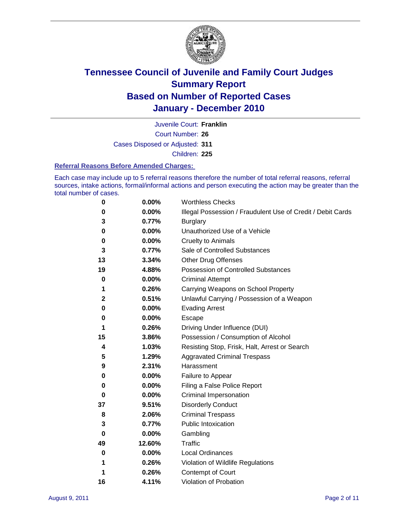

Court Number: **26** Juvenile Court: **Franklin** Cases Disposed or Adjusted: **311**

Children: **225**

#### **Referral Reasons Before Amended Charges:**

Each case may include up to 5 referral reasons therefore the number of total referral reasons, referral sources, intake actions, formal/informal actions and person executing the action may be greater than the total number of cases.

| 0            | 0.00%  | <b>Worthless Checks</b>                                     |
|--------------|--------|-------------------------------------------------------------|
| 0            | 0.00%  | Illegal Possession / Fraudulent Use of Credit / Debit Cards |
| 3            | 0.77%  | <b>Burglary</b>                                             |
| 0            | 0.00%  | Unauthorized Use of a Vehicle                               |
| 0            | 0.00%  | <b>Cruelty to Animals</b>                                   |
| 3            | 0.77%  | Sale of Controlled Substances                               |
| 13           | 3.34%  | <b>Other Drug Offenses</b>                                  |
| 19           | 4.88%  | Possession of Controlled Substances                         |
| 0            | 0.00%  | <b>Criminal Attempt</b>                                     |
| 1            | 0.26%  | Carrying Weapons on School Property                         |
| $\mathbf{2}$ | 0.51%  | Unlawful Carrying / Possession of a Weapon                  |
| 0            | 0.00%  | <b>Evading Arrest</b>                                       |
| 0            | 0.00%  | Escape                                                      |
| 1            | 0.26%  | Driving Under Influence (DUI)                               |
| 15           | 3.86%  | Possession / Consumption of Alcohol                         |
| 4            | 1.03%  | Resisting Stop, Frisk, Halt, Arrest or Search               |
| 5            | 1.29%  | <b>Aggravated Criminal Trespass</b>                         |
| 9            | 2.31%  | Harassment                                                  |
| 0            | 0.00%  | Failure to Appear                                           |
| 0            | 0.00%  | Filing a False Police Report                                |
| 0            | 0.00%  | Criminal Impersonation                                      |
| 37           | 9.51%  | <b>Disorderly Conduct</b>                                   |
| 8            | 2.06%  | <b>Criminal Trespass</b>                                    |
| 3            | 0.77%  | <b>Public Intoxication</b>                                  |
| 0            | 0.00%  | Gambling                                                    |
| 49           | 12.60% | <b>Traffic</b>                                              |
| 0            | 0.00%  | <b>Local Ordinances</b>                                     |
| 1            | 0.26%  | Violation of Wildlife Regulations                           |
| 1            | 0.26%  | Contempt of Court                                           |
| 16           | 4.11%  | Violation of Probation                                      |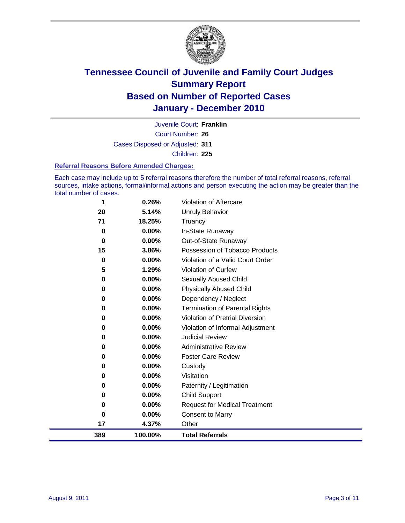

Court Number: **26** Juvenile Court: **Franklin** Cases Disposed or Adjusted: **311** Children: **225**

#### **Referral Reasons Before Amended Charges:**

Each case may include up to 5 referral reasons therefore the number of total referral reasons, referral sources, intake actions, formal/informal actions and person executing the action may be greater than the total number of cases.

| 389            | 100.00%        | <b>Total Referrals</b>                                 |
|----------------|----------------|--------------------------------------------------------|
| 17             | 4.37%          | Other                                                  |
| 0              | 0.00%          | <b>Consent to Marry</b>                                |
| 0              | 0.00%          | <b>Request for Medical Treatment</b>                   |
| 0              | 0.00%          | <b>Child Support</b>                                   |
| 0              | 0.00%          | Paternity / Legitimation                               |
| 0              | 0.00%          | Visitation                                             |
| 0              | 0.00%          | Custody                                                |
| 0              | 0.00%          | <b>Foster Care Review</b>                              |
| 0              | 0.00%          | <b>Administrative Review</b>                           |
| 0              | 0.00%          | <b>Judicial Review</b>                                 |
| 0              | 0.00%          | Violation of Informal Adjustment                       |
| 0              | 0.00%          | <b>Violation of Pretrial Diversion</b>                 |
| 0              | 0.00%          | <b>Termination of Parental Rights</b>                  |
| 0              | 0.00%          | Dependency / Neglect                                   |
| 0              | 0.00%          | <b>Physically Abused Child</b>                         |
| 0              | 0.00%          | <b>Sexually Abused Child</b>                           |
| 5              | 1.29%          | <b>Violation of Curfew</b>                             |
| 0              | 0.00%          | Violation of a Valid Court Order                       |
| $\bf{0}$<br>15 | 0.00%<br>3.86% | Out-of-State Runaway<br>Possession of Tobacco Products |
| $\bf{0}$       | 0.00%          | In-State Runaway                                       |
| 71             | 18.25%         | Truancy                                                |
| 20             | 5.14%          | Unruly Behavior                                        |
| 1              | 0.26%          | Violation of Aftercare                                 |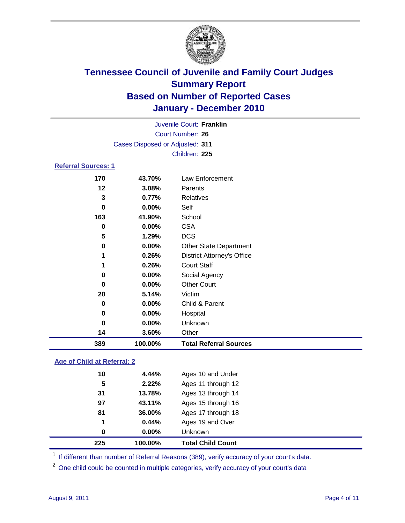

|                            |                                 | Juvenile Court: Franklin          |  |  |  |
|----------------------------|---------------------------------|-----------------------------------|--|--|--|
| Court Number: 26           |                                 |                                   |  |  |  |
|                            | Cases Disposed or Adjusted: 311 |                                   |  |  |  |
|                            |                                 | Children: 225                     |  |  |  |
| <b>Referral Sources: 1</b> |                                 |                                   |  |  |  |
| 170                        | 43.70%                          | Law Enforcement                   |  |  |  |
| 12                         | 3.08%                           | Parents                           |  |  |  |
| 3                          | 0.77%                           | Relatives                         |  |  |  |
| 0                          | 0.00%                           | Self                              |  |  |  |
| 163                        | 41.90%                          | School                            |  |  |  |
| 0                          | $0.00\%$                        | <b>CSA</b>                        |  |  |  |
| 5                          | 1.29%                           | <b>DCS</b>                        |  |  |  |
| 0                          | 0.00%                           | <b>Other State Department</b>     |  |  |  |
| 1                          | 0.26%                           | <b>District Attorney's Office</b> |  |  |  |
| 1                          | 0.26%                           | <b>Court Staff</b>                |  |  |  |
| 0                          | 0.00%                           | Social Agency                     |  |  |  |
| $\bf{0}$                   | $0.00\%$                        | <b>Other Court</b>                |  |  |  |
| 20                         | 5.14%                           | Victim                            |  |  |  |
| 0                          | 0.00%                           | Child & Parent                    |  |  |  |
| 0                          | 0.00%                           | Hospital                          |  |  |  |
| 0                          | 0.00%                           | Unknown                           |  |  |  |
| 14                         | 3.60%                           | Other                             |  |  |  |

### **Age of Child at Referral: 2**

| 225 | 100.00% | <b>Total Child Count</b> |
|-----|---------|--------------------------|
| 0   | 0.00%   | Unknown                  |
| 1   | 0.44%   | Ages 19 and Over         |
| 81  | 36.00%  | Ages 17 through 18       |
| 97  | 43.11%  | Ages 15 through 16       |
| 31  | 13.78%  | Ages 13 through 14       |
| 5   | 2.22%   | Ages 11 through 12       |
| 10  | 4.44%   | Ages 10 and Under        |
|     |         |                          |

<sup>1</sup> If different than number of Referral Reasons (389), verify accuracy of your court's data.

**100.00% Total Referral Sources**

<sup>2</sup> One child could be counted in multiple categories, verify accuracy of your court's data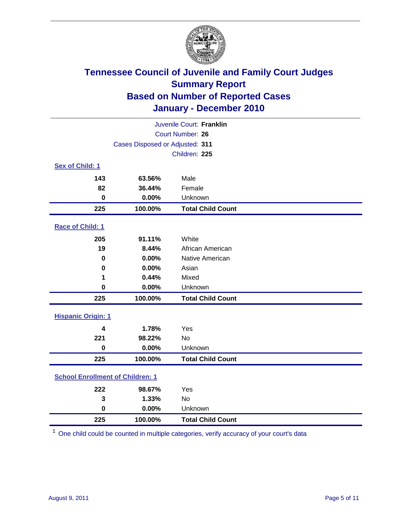

| Juvenile Court: Franklin                |                                 |                          |  |  |
|-----------------------------------------|---------------------------------|--------------------------|--|--|
| <b>Court Number: 26</b>                 |                                 |                          |  |  |
|                                         | Cases Disposed or Adjusted: 311 |                          |  |  |
|                                         |                                 | Children: 225            |  |  |
| Sex of Child: 1                         |                                 |                          |  |  |
| 143                                     | 63.56%                          | Male                     |  |  |
| 82                                      | 36.44%                          | Female                   |  |  |
| $\bf{0}$                                | 0.00%                           | Unknown                  |  |  |
| 225                                     | 100.00%                         | <b>Total Child Count</b> |  |  |
| Race of Child: 1                        |                                 |                          |  |  |
| 205                                     | 91.11%                          | White                    |  |  |
| 19                                      | 8.44%                           | African American         |  |  |
| 0                                       | 0.00%                           | Native American          |  |  |
| $\mathbf 0$                             | 0.00%                           | Asian                    |  |  |
| 1                                       | 0.44%                           | Mixed                    |  |  |
| $\mathbf 0$                             | 0.00%                           | Unknown                  |  |  |
| 225                                     | 100.00%                         | <b>Total Child Count</b> |  |  |
| <b>Hispanic Origin: 1</b>               |                                 |                          |  |  |
|                                         |                                 |                          |  |  |
| 4<br>221                                | 1.78%<br>98.22%                 | Yes<br><b>No</b>         |  |  |
| $\mathbf 0$                             | 0.00%                           | Unknown                  |  |  |
|                                         |                                 |                          |  |  |
| 225                                     | 100.00%                         | <b>Total Child Count</b> |  |  |
| <b>School Enrollment of Children: 1</b> |                                 |                          |  |  |
| 222                                     | 98.67%                          | Yes                      |  |  |
| 3                                       | 1.33%                           | No                       |  |  |
| $\mathbf 0$                             | 0.00%                           | Unknown                  |  |  |
| 225                                     | 100.00%                         | <b>Total Child Count</b> |  |  |

One child could be counted in multiple categories, verify accuracy of your court's data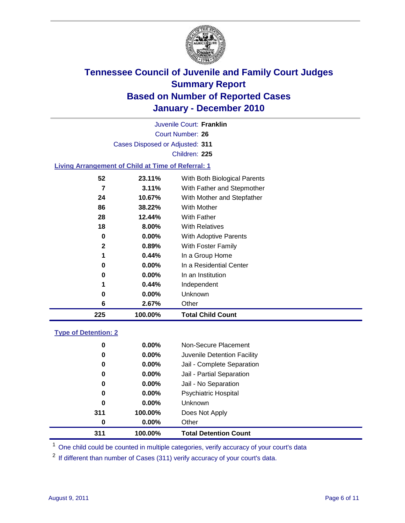

Court Number: **26** Juvenile Court: **Franklin** Cases Disposed or Adjusted: **311** Children: **225 Living Arrangement of Child at Time of Referral: 1 23.11%** With Both Biological Parents **3.11%** With Father and Stepmother **10.67%** With Mother and Stepfather

| 225 | 100.00%  | <b>Total Child Count</b>     |
|-----|----------|------------------------------|
| 6   | 2.67%    | Other                        |
| 0   | $0.00\%$ | Unknown                      |
| 1   | 0.44%    | Independent                  |
| 0   | $0.00\%$ | In an Institution            |
| 0   | $0.00\%$ | In a Residential Center      |
| 1   | 0.44%    | In a Group Home              |
| 2   | 0.89%    | With Foster Family           |
| 0   | $0.00\%$ | <b>With Adoptive Parents</b> |
| 18  | 8.00%    | <b>With Relatives</b>        |
| 28  | 12.44%   | <b>With Father</b>           |
| 86  | 38.22%   | With Mother                  |
|     |          |                              |

### **Type of Detention: 2**

| 311 | 100.00%  | <b>Total Detention Count</b> |
|-----|----------|------------------------------|
| 0   | $0.00\%$ | Other                        |
| 311 | 100.00%  | Does Not Apply               |
| 0   | $0.00\%$ | <b>Unknown</b>               |
| 0   | $0.00\%$ | <b>Psychiatric Hospital</b>  |
| 0   | 0.00%    | Jail - No Separation         |
| 0   | $0.00\%$ | Jail - Partial Separation    |
| 0   | $0.00\%$ | Jail - Complete Separation   |
| 0   | 0.00%    | Juvenile Detention Facility  |
| 0   | $0.00\%$ | Non-Secure Placement         |
|     |          |                              |

<sup>1</sup> One child could be counted in multiple categories, verify accuracy of your court's data

<sup>2</sup> If different than number of Cases (311) verify accuracy of your court's data.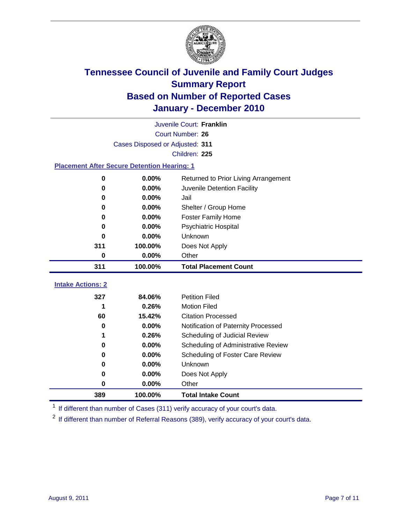

|                                                    | Juvenile Court: Franklin        |                                      |  |  |  |
|----------------------------------------------------|---------------------------------|--------------------------------------|--|--|--|
|                                                    | <b>Court Number: 26</b>         |                                      |  |  |  |
|                                                    | Cases Disposed or Adjusted: 311 |                                      |  |  |  |
|                                                    |                                 | Children: 225                        |  |  |  |
| <b>Placement After Secure Detention Hearing: 1</b> |                                 |                                      |  |  |  |
| $\mathbf 0$                                        | 0.00%                           | Returned to Prior Living Arrangement |  |  |  |
| 0                                                  | 0.00%                           | Juvenile Detention Facility          |  |  |  |
| 0                                                  | 0.00%                           | Jail                                 |  |  |  |
| 0                                                  | 0.00%                           | Shelter / Group Home                 |  |  |  |
| 0                                                  | 0.00%                           | <b>Foster Family Home</b>            |  |  |  |
| 0                                                  | 0.00%                           | Psychiatric Hospital                 |  |  |  |
| 0                                                  | 0.00%                           | Unknown                              |  |  |  |
| 311                                                | 100.00%                         | Does Not Apply                       |  |  |  |
| 0                                                  | 0.00%                           | Other                                |  |  |  |
| 311                                                | 100.00%                         | <b>Total Placement Count</b>         |  |  |  |
| <b>Intake Actions: 2</b>                           |                                 |                                      |  |  |  |
| 327                                                | 84.06%                          | <b>Petition Filed</b>                |  |  |  |
| 1                                                  | 0.26%                           | <b>Motion Filed</b>                  |  |  |  |
| 60                                                 | 15.42%                          | <b>Citation Processed</b>            |  |  |  |
| 0                                                  | 0.00%                           | Notification of Paternity Processed  |  |  |  |
| 1                                                  | 0.26%                           | Scheduling of Judicial Review        |  |  |  |
| 0                                                  | 0.00%                           | Scheduling of Administrative Review  |  |  |  |
| 0                                                  | 0.00%                           | Scheduling of Foster Care Review     |  |  |  |
| 0                                                  | 0.00%                           | Unknown                              |  |  |  |
| 0                                                  | 0.00%                           | Does Not Apply                       |  |  |  |
| $\pmb{0}$                                          | 0.00%                           | Other                                |  |  |  |
|                                                    |                                 |                                      |  |  |  |
| 389                                                | 100.00%                         | <b>Total Intake Count</b>            |  |  |  |

<sup>1</sup> If different than number of Cases (311) verify accuracy of your court's data.

<sup>2</sup> If different than number of Referral Reasons (389), verify accuracy of your court's data.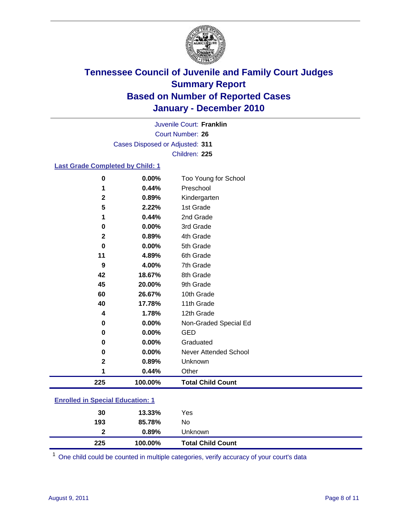

Court Number: **26** Juvenile Court: **Franklin** Cases Disposed or Adjusted: **311** Children: **225**

### **Last Grade Completed by Child: 1**

| $\bf{0}$                                | 0.00%   | Too Young for School         |  |
|-----------------------------------------|---------|------------------------------|--|
| 1                                       | 0.44%   | Preschool                    |  |
| $\mathbf 2$                             | 0.89%   | Kindergarten                 |  |
| 5                                       | 2.22%   | 1st Grade                    |  |
| 1                                       | 0.44%   | 2nd Grade                    |  |
| 0                                       | 0.00%   | 3rd Grade                    |  |
| $\mathbf{2}$                            | 0.89%   | 4th Grade                    |  |
| $\bf{0}$                                | 0.00%   | 5th Grade                    |  |
| 11                                      | 4.89%   | 6th Grade                    |  |
| 9                                       | 4.00%   | 7th Grade                    |  |
| 42                                      | 18.67%  | 8th Grade                    |  |
| 45                                      | 20.00%  | 9th Grade                    |  |
| 60                                      | 26.67%  | 10th Grade                   |  |
| 40                                      | 17.78%  | 11th Grade                   |  |
| 4                                       | 1.78%   | 12th Grade                   |  |
| 0                                       | 0.00%   | Non-Graded Special Ed        |  |
| 0                                       | 0.00%   | <b>GED</b>                   |  |
| 0                                       | 0.00%   | Graduated                    |  |
| 0                                       | 0.00%   | <b>Never Attended School</b> |  |
| $\mathbf 2$                             | 0.89%   | Unknown                      |  |
| 1                                       | 0.44%   | Other                        |  |
| 225                                     | 100.00% | <b>Total Child Count</b>     |  |
| <b>Enrolled in Special Education: 1</b> |         |                              |  |
|                                         |         |                              |  |

| <b>Total Child Count</b> |
|--------------------------|
|                          |
|                          |
|                          |
|                          |

One child could be counted in multiple categories, verify accuracy of your court's data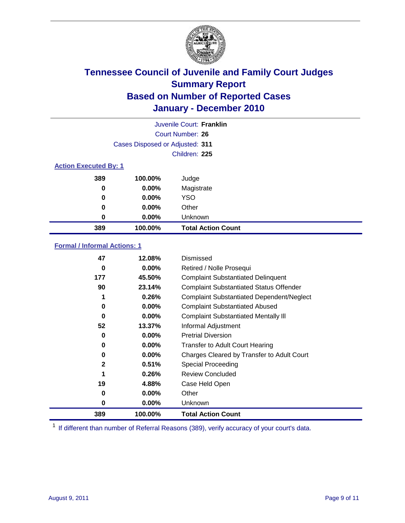

|                              | Juvenile Court: Franklin        |                           |  |  |
|------------------------------|---------------------------------|---------------------------|--|--|
|                              | Court Number: 26                |                           |  |  |
|                              | Cases Disposed or Adjusted: 311 |                           |  |  |
|                              |                                 | Children: 225             |  |  |
| <b>Action Executed By: 1</b> |                                 |                           |  |  |
| 389                          | 100.00%                         | Judge                     |  |  |
| $\bf{0}$                     | $0.00\%$                        | Magistrate                |  |  |
| $\bf{0}$                     | $0.00\%$                        | <b>YSO</b>                |  |  |
| 0                            | $0.00\%$                        | Other                     |  |  |
| 0                            | 0.00%                           | Unknown                   |  |  |
| 389                          | 100.00%                         | <b>Total Action Count</b> |  |  |

### **Formal / Informal Actions: 1**

| 47           | 12.08%   | Dismissed                                        |
|--------------|----------|--------------------------------------------------|
| 0            | $0.00\%$ | Retired / Nolle Prosequi                         |
| 177          | 45.50%   | <b>Complaint Substantiated Delinquent</b>        |
| 90           | 23.14%   | <b>Complaint Substantiated Status Offender</b>   |
| 1            | 0.26%    | <b>Complaint Substantiated Dependent/Neglect</b> |
| 0            | $0.00\%$ | <b>Complaint Substantiated Abused</b>            |
| 0            | $0.00\%$ | <b>Complaint Substantiated Mentally III</b>      |
| 52           | 13.37%   | Informal Adjustment                              |
| 0            | $0.00\%$ | <b>Pretrial Diversion</b>                        |
| 0            | $0.00\%$ | <b>Transfer to Adult Court Hearing</b>           |
| 0            | $0.00\%$ | Charges Cleared by Transfer to Adult Court       |
| $\mathbf{2}$ | 0.51%    | <b>Special Proceeding</b>                        |
| 1            | 0.26%    | <b>Review Concluded</b>                          |
| 19           | 4.88%    | Case Held Open                                   |
| 0            | $0.00\%$ | Other                                            |
| 0            | $0.00\%$ | Unknown                                          |
| 389          | 100.00%  | <b>Total Action Count</b>                        |

<sup>1</sup> If different than number of Referral Reasons (389), verify accuracy of your court's data.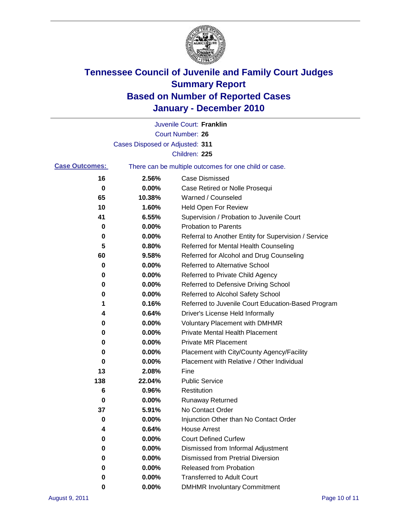

|                       |                                 | Juvenile Court: Franklin                              |
|-----------------------|---------------------------------|-------------------------------------------------------|
|                       |                                 | <b>Court Number: 26</b>                               |
|                       | Cases Disposed or Adjusted: 311 |                                                       |
|                       |                                 | Children: 225                                         |
| <b>Case Outcomes:</b> |                                 | There can be multiple outcomes for one child or case. |
| 16                    | 2.56%                           | <b>Case Dismissed</b>                                 |
| 0                     | 0.00%                           | Case Retired or Nolle Prosequi                        |
| 65                    | 10.38%                          | Warned / Counseled                                    |
| 10                    | 1.60%                           | Held Open For Review                                  |
| 41                    | 6.55%                           | Supervision / Probation to Juvenile Court             |
| 0                     | 0.00%                           | <b>Probation to Parents</b>                           |
| 0                     | 0.00%                           | Referral to Another Entity for Supervision / Service  |
| 5                     | 0.80%                           | Referred for Mental Health Counseling                 |
| 60                    | 9.58%                           | Referred for Alcohol and Drug Counseling              |
| 0                     | 0.00%                           | <b>Referred to Alternative School</b>                 |
| 0                     | 0.00%                           | Referred to Private Child Agency                      |
| 0                     | 0.00%                           | Referred to Defensive Driving School                  |
| 0                     | 0.00%                           | Referred to Alcohol Safety School                     |
| 1                     | 0.16%                           | Referred to Juvenile Court Education-Based Program    |
| 4                     | 0.64%                           | Driver's License Held Informally                      |
| 0                     | 0.00%                           | <b>Voluntary Placement with DMHMR</b>                 |
| 0                     | 0.00%                           | <b>Private Mental Health Placement</b>                |
| 0                     | 0.00%                           | <b>Private MR Placement</b>                           |
| 0                     | 0.00%                           | Placement with City/County Agency/Facility            |
| 0                     | 0.00%                           | Placement with Relative / Other Individual            |
| 13                    | 2.08%                           | Fine                                                  |
| 138                   | 22.04%                          | <b>Public Service</b>                                 |
| 6                     | 0.96%                           | Restitution                                           |
| 0                     | 0.00%                           | <b>Runaway Returned</b>                               |
| 37                    | 5.91%                           | No Contact Order                                      |
| 0                     | 0.00%                           | Injunction Other than No Contact Order                |
| 4                     | 0.64%                           | <b>House Arrest</b>                                   |
| 0                     | $0.00\%$                        | <b>Court Defined Curfew</b>                           |
| 0                     | 0.00%                           | Dismissed from Informal Adjustment                    |
| 0                     | $0.00\%$                        | <b>Dismissed from Pretrial Diversion</b>              |
| 0                     | 0.00%                           | Released from Probation                               |
| 0                     | 0.00%                           | <b>Transferred to Adult Court</b>                     |
| 0                     | $0.00\%$                        | <b>DMHMR Involuntary Commitment</b>                   |